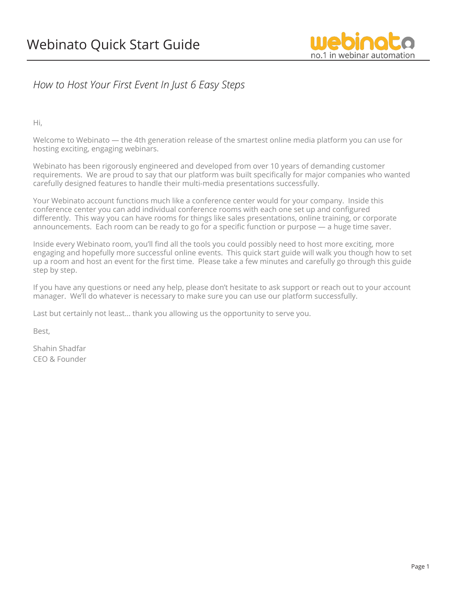

### *How to Host Your First Event In Just 6 Easy Steps*

Hi,

Welcome to Webinato — the 4th generation release of the smartest online media platform you can use for hosting exciting, engaging webinars.

Webinato has been rigorously engineered and developed from over 10 years of demanding customer requirements. We are proud to say that our platform was built specifically for major companies who wanted carefully designed features to handle their multi-media presentations successfully.

Your Webinato account functions much like a conference center would for your company. Inside this conference center you can add individual conference rooms with each one set up and configured differently. This way you can have rooms for things like sales presentations, online training, or corporate announcements. Each room can be ready to go for a specific function or purpose — a huge time saver.

Inside every Webinato room, you'll find all the tools you could possibly need to host more exciting, more engaging and hopefully more successful online events. This quick start guide will walk you though how to set up a room and host an event for the first time. Please take a few minutes and carefully go through this guide step by step.

If you have any questions or need any help, please don't hesitate to ask support or reach out to your account manager. We'll do whatever is necessary to make sure you can use our platform successfully.

Last but certainly not least… thank you allowing us the opportunity to serve you.

Best,

Shahin Shadfar CEO & Founder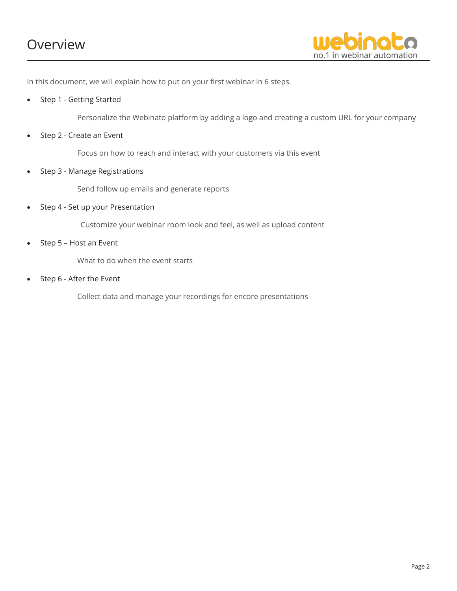## Overview



In this document, we will explain how to put on your first webinar in 6 steps.

Step 1 - Getting Started

Personalize the Webinato platform by adding a logo and creating a custom URL for your company

Step 2 - Create an Event

Focus on how to reach and interact with your customers via this event

• Step 3 - Manage Registrations

Send follow up emails and generate reports

• Step 4 - Set up your Presentation

Customize your webinar room look and feel, as well as upload content

• Step 5 – Host an Event

What to do when the event starts

Step 6 - After the Event

Collect data and manage your recordings for encore presentations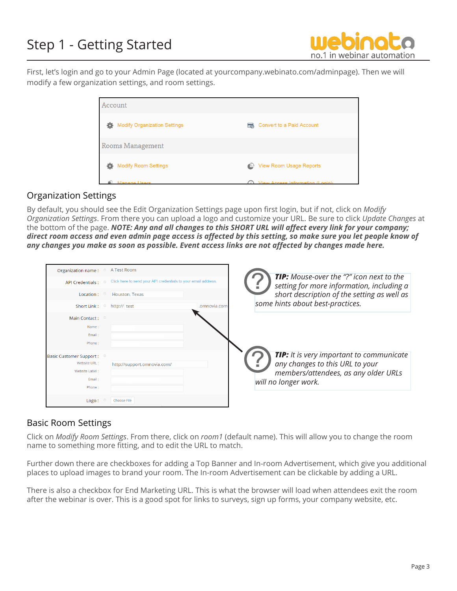# Step 1 - Getting Started



First, let's login and go to your Admin Page (located at yourcompany.webinato.com/adminpage). Then we will modify a few organization settings, and room settings.

| Account                                  |                                                      |
|------------------------------------------|------------------------------------------------------|
| <b>Modify Organization Settings</b><br>o | <b>Convert to a Paid Account</b><br>$\overline{\Xi}$ |
| Rooms Management                         |                                                      |
| <b>Modify Room Settings</b>              | <b>View Room Usage Reports</b><br>₾                  |
| Managa Lleore                            | (i) View Access Information (Login)                  |

#### Organization Settings

By default, you should see the Edit Organization Settings page upon first login, but if not, click on *Modify Organization Settings*. From there you can upload a logo and customize your URL. Be sure to click *Update Changes* at the bottom of the page. *NOTE: Any and all changes to this SHORT URL will affect every link for your company; direct room access and even admin page access is affected by this setting, so make sure you let people know of any changes you make as soon as possible. Event access links are not affected by changes made here.*

| Organization name: <sup>®</sup> A Test Room                      |                |                                                                |                                                                                                                     |  |
|------------------------------------------------------------------|----------------|----------------------------------------------------------------|---------------------------------------------------------------------------------------------------------------------|--|
| <b>API Credentials:</b>                                          | $\circledcirc$ | Click here to send your API credentials to your email address. | <b>TIP:</b> Mouse-over the "?" icon next to the<br>setting for more information, including a                        |  |
| Location :                                                       |                | Houston, Texas                                                 | short description of the setting as well as                                                                         |  |
| Short Link : $\circ$                                             |                | .omnovia.com<br>http:// test                                   | some hints about best-practices.                                                                                    |  |
| Main Contact:                                                    |                |                                                                |                                                                                                                     |  |
| Name:                                                            |                |                                                                |                                                                                                                     |  |
| Email:<br>Phone:                                                 |                |                                                                |                                                                                                                     |  |
| <b>Basic Customer Support:</b><br>Website URL:<br>Website Label: |                | http://support.omnovia.com/                                    | TIP: It is very important to communicate<br>any changes to this URL to your<br>members/attendees, as any older URLs |  |
| Email:<br>Phone:                                                 |                |                                                                | will no longer work.                                                                                                |  |
| Logo:                                                            |                | Choose File                                                    |                                                                                                                     |  |

#### Basic Room Settings

Click on *Modify Room Settings*. From there, click on *room1* (default name). This will allow you to change the room name to something more fitting, and to edit the URL to match.

Further down there are checkboxes for adding a Top Banner and In-room Advertisement, which give you additional places to upload images to brand your room. The In-room Advertisement can be clickable by adding a URL.

There is also a checkbox for End Marketing URL. This is what the browser will load when attendees exit the room after the webinar is over. This is a good spot for links to surveys, sign up forms, your company website, etc.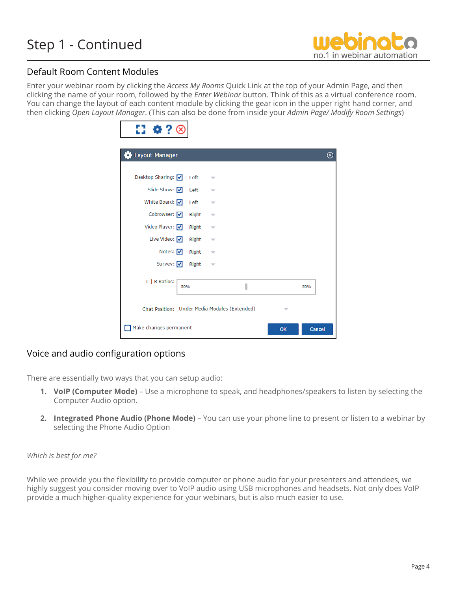

#### Default Room Content Modules

Enter your webinar room by clicking the *Access My Rooms* Quick Link at the top of your Admin Page, and then clicking the name of your room, followed by the *Enter Webinar* button. Think of this as a virtual conference room. You can change the layout of each content module by clicking the gear icon in the upper right hand corner, and then clicking *Open Layout Manager*. (This can also be done from inside your *Admin Page/ Modify Room Settings*)

| ₩?                                            |       |                          |   |    |        |          |
|-----------------------------------------------|-------|--------------------------|---|----|--------|----------|
| Layout Manager                                |       |                          |   |    |        | $_\odot$ |
| Desktop Sharing: v                            | Left  |                          |   |    |        |          |
| Slide Show: V                                 | Left  |                          |   |    |        |          |
| White Board: $\nabla$                         | Left  |                          |   |    |        |          |
| Cobrowser: v                                  | Right | $\overline{\phantom{a}}$ |   |    |        |          |
| Video Player: V                               | Right | ▽                        |   |    |        |          |
| Live Video: V                                 | Right |                          |   |    |        |          |
| Notes: $\sqrt{}$                              | Right |                          |   |    |        |          |
| Survey: V                                     | Right | $\overline{\phantom{a}}$ |   |    |        |          |
| L   R Ratios:<br>50%                          |       |                          | I |    | 50%    |          |
| Chat Position: Under Media Modules (Extended) |       |                          |   |    |        |          |
| Make changes permanent                        |       |                          |   | OK | Cancel |          |

### Voice and audio configuration options

There are essentially two ways that you can setup audio:

- **1. VoIP (Computer Mode)** Use a microphone to speak, and headphones/speakers to listen by selecting the Computer Audio option.
- **2. Integrated Phone Audio (Phone Mode)** You can use your phone line to present or listen to a webinar by selecting the Phone Audio Option

#### *Which is best for me?*

While we provide you the flexibility to provide computer or phone audio for your presenters and attendees, we highly suggest you consider moving over to VoIP audio using USB microphones and headsets. Not only does VoIP provide a much higher-quality experience for your webinars, but is also much easier to use.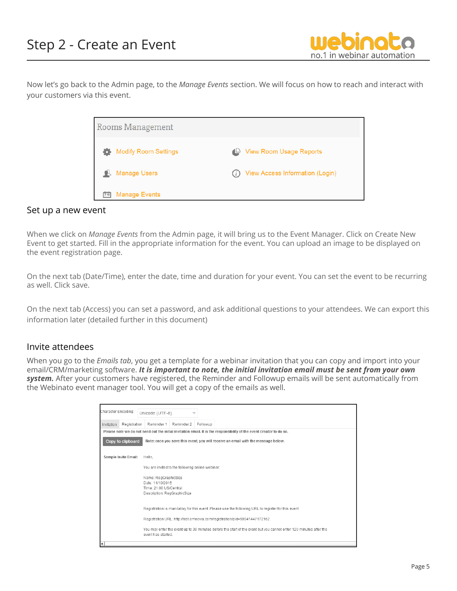

Now let's go back to the Admin page, to the *Manage Events* section. We will focus on how to reach and interact with your customers via this event.

| <b>Rooms Management</b>     |                                        |
|-----------------------------|----------------------------------------|
| <b>Modify Room Settings</b> | <b>View Room Usage Reports</b><br>≃    |
| <b>Manage Users</b>         | <b>View Access Information (Login)</b> |
| 栉<br><b>Manage Events</b>   |                                        |

#### Set up a new event

When we click on *Manage Events* from the Admin page, it will bring us to the Event Manager. Click on Create New Event to get started. Fill in the appropriate information for the event. You can upload an image to be displayed on the event registration page.

On the next tab (Date/Time), enter the date, time and duration for your event. You can set the event to be recurring as well. Click save.

On the next tab (Access) you can set a password, and ask additional questions to your attendees. We can export this information later (detailed further in this document)

#### Invite attendees

When you go to the *Emails tab*, you get a template for a webinar invitation that you can copy and import into your email/CRM/marketing software. *It is important to note, the initial invitation email must be sent from your own system.* After your customers have registered, the Reminder and Followup emails will be sent automatically from the Webinato event manager tool. You will get a copy of the emails as well.

| Character Encoding: |                      | Unicode (UTF-8)                                                                                   |                                                                                                                      |
|---------------------|----------------------|---------------------------------------------------------------------------------------------------|----------------------------------------------------------------------------------------------------------------------|
| Invitation          | Registration         | Reminder 1<br>Reminder 2                                                                          | Followup                                                                                                             |
|                     |                      |                                                                                                   | Please note we do not send out the initial invitation email. It is the responsibility of the event creator to do so. |
|                     | Copy to clipboard    |                                                                                                   | Note: once you save this event, you will receive an email with the message below.                                    |
|                     | Sample Invite Email: | Hello.                                                                                            |                                                                                                                      |
|                     |                      | You are invited to the following online webinar:                                                  |                                                                                                                      |
|                     |                      | Name: RegGraphicSize<br>Date: 11/10/2015<br>Time: 21:00 US/Central<br>Description: RegGraphicSize |                                                                                                                      |
|                     |                      |                                                                                                   | Registration is mandatory for this event. Please use the following URL to register for this event:                   |
|                     |                      |                                                                                                   | Registration URL: http://test.omnovia.com/registration/pid=69941447172162                                            |
|                     |                      | event has started.                                                                                | You may enter the event up to 30 minutes before the start of the event but you cannot enter 120 minutes after the    |
| ŀ۹                  |                      |                                                                                                   |                                                                                                                      |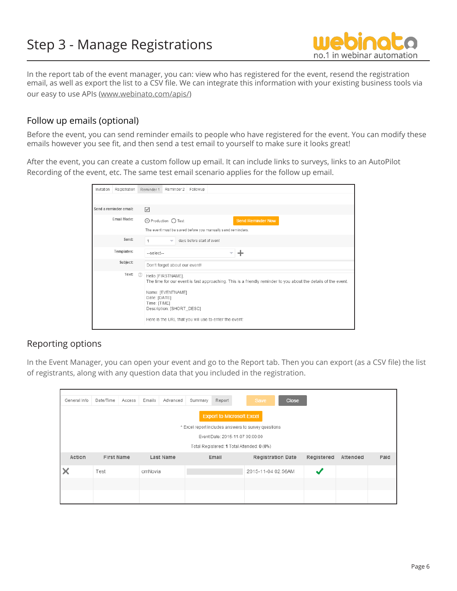

In the report tab of the event manager, you can: view who has registered for the event, resend the registration email, as well as export the list to a CSV file. We can integrate this information with your existing business tools via our easy to use APIs (www.webinato.com/apis/)

#### Follow up emails (optional)

Before the event, you can send reminder emails to people who have registered for the event. You can modify these emails however you see fit, and then send a test email to yourself to make sure it looks great!

After the event, you can create a custom follow up email. It can include links to surveys, links to an AutoPilot Recording of the event, etc. The same test email scenario applies for the follow up email.

| Invitation             | Registration | Reminder 1                          | Reminder 2                                                                                                                    | Followup                   |  |                          |                                                                                                                |  |
|------------------------|--------------|-------------------------------------|-------------------------------------------------------------------------------------------------------------------------------|----------------------------|--|--------------------------|----------------------------------------------------------------------------------------------------------------|--|
|                        |              |                                     |                                                                                                                               |                            |  |                          |                                                                                                                |  |
| Send a reminder email: |              | ☑                                   |                                                                                                                               |                            |  |                          |                                                                                                                |  |
| Fmail Mode:            |              |                                     | ⊙ Production ○ Test                                                                                                           |                            |  | <b>Send Reminder Now</b> |                                                                                                                |  |
|                        |              |                                     | The event must be saved before you manually send reminders.                                                                   |                            |  |                          |                                                                                                                |  |
|                        | Send:        |                                     | $\overline{\phantom{a}}$                                                                                                      | days before start of event |  |                          |                                                                                                                |  |
| Templates:             |              | --select--                          |                                                                                                                               |                            |  |                          |                                                                                                                |  |
|                        | Subject:     |                                     | Don't forget about our event!                                                                                                 |                            |  |                          |                                                                                                                |  |
|                        | Text:        | (2)<br>Date: [DATE]<br>Time: [TIME] | Hello [FIRSTNAME],<br>Name: [EVENTNAME]<br>Description: [SHORT DESC]<br>Here is the URL that you will use to enter the event: |                            |  |                          | The time for our event is fast approaching. This is a friendly reminder to you about the details of the event. |  |

#### Reporting options

In the Event Manager, you can open your event and go to the Report tab. Then you can export (as a CSV file) the list of registrants, along with any question data that you included in the registration.

| General Info | Date/Time         | Access | Emails  | Advanced  | Summary | Report                           | Save                                                | <b>Close</b>             |            |          |      |
|--------------|-------------------|--------|---------|-----------|---------|----------------------------------|-----------------------------------------------------|--------------------------|------------|----------|------|
|              |                   |        |         |           |         | <b>Export to Microsoft Excel</b> | * Excel report includes answers to survey questions |                          |            |          |      |
|              |                   |        |         |           |         | Event Date: 2015-11-07 09:00:00  |                                                     |                          |            |          |      |
|              |                   |        |         |           |         |                                  |                                                     |                          |            |          |      |
|              |                   |        |         |           |         |                                  | Total Registered: 1 Total Attended: 0 (0%)          |                          |            |          |      |
| Action       | <b>First Name</b> |        |         | Last Name |         | Email                            |                                                     | <b>Registration Date</b> | Registered | Attended | Paid |
|              | Test              |        | omNovia |           |         |                                  | 2015-11-04 02:56AM                                  |                          | w          |          |      |
|              |                   |        |         |           |         |                                  |                                                     |                          |            |          |      |
|              |                   |        |         |           |         |                                  |                                                     |                          |            |          |      |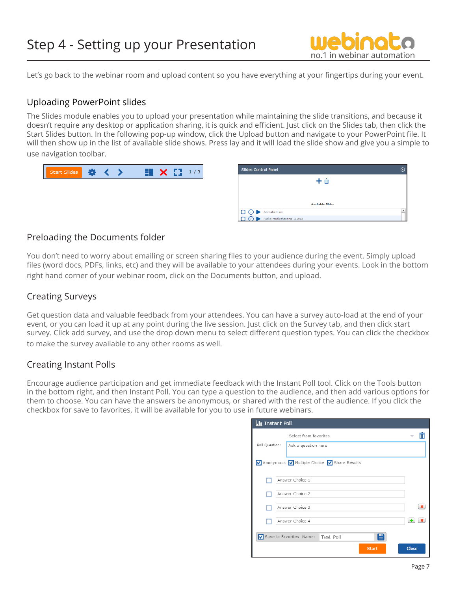

Let's go back to the webinar room and upload content so you have everything at your fingertips during your event.

#### Uploading PowerPoint slides

The Slides module enables you to upload your presentation while maintaining the slide transitions, and because it doesn't require any desktop or application sharing, it is quick and efficient. Just click on the Slides tab, then click the Start Slides button. In the following pop-up window, click the Upload button and navigate to your PowerPoint file. It will then show up in the list of available slide shows. Press lay and it will load the slide show and give you a simple to use navigation toolbar.



| <b>Slides Control Panel</b> | ⊗ |
|-----------------------------|---|
| 十亩                          |   |
|                             |   |
|                             |   |
| <b>Available Slides</b>     |   |
| AnimationTest               |   |
| AudioTroubleshooting_111913 |   |

#### Preloading the Documents folder

You don't need to worry about emailing or screen sharing files to your audience during the event. Simply upload files (word docs, PDFs, links, etc) and they will be available to your attendees during your events. Look in the bottom right hand corner of your webinar room, click on the Documents button, and upload.

#### Creating Surveys

Get question data and valuable feedback from your attendees. You can have a survey auto-load at the end of your event, or you can load it up at any point during the live session. Just click on the Survey tab, and then click start survey. Click add survey, and use the drop down menu to select different question types. You can click the checkbox to make the survey available to any other rooms as well.

#### Creating Instant Polls

Encourage audience participation and get immediate feedback with the Instant Poll tool. Click on the Tools button in the bottom right, and then Instant Poll. You can type a question to the audience, and then add various options for them to choose. You can have the answers be anonymous, or shared with the rest of the audience. If you click the checkbox for save to favorites, it will be available for you to use in future webinars.

| <b>.l</b> Instant Poll |                                               |       |
|------------------------|-----------------------------------------------|-------|
|                        | Select from favorites                         |       |
| Poll Question:         | Ask a question here                           |       |
|                        | √ Anonymous √ Multiple Choice √ Share Results |       |
| Answer Choice 1        |                                               |       |
| Answer Choice 2        |                                               |       |
| Answer Choice 3        |                                               | ×     |
| Answer Choice 4        |                                               | 生     |
|                        | e<br>Save to Favorites Name: Test Poll        |       |
|                        | <b>Start</b>                                  | Close |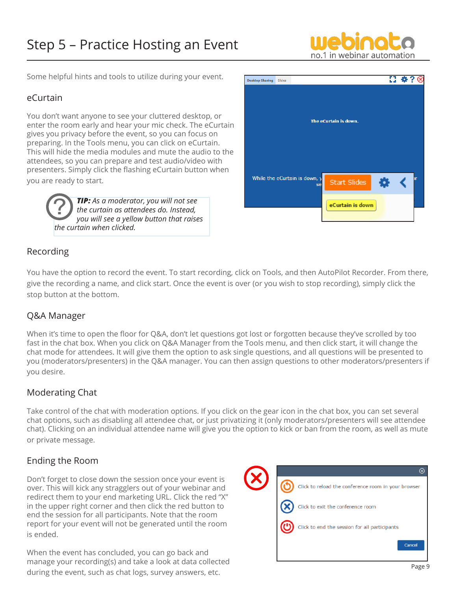# Step 5 – Practice Hosting an Event



Some helpful hints and tools to utilize during your event.

#### eCurtain

You don't want anyone to see your cluttered desktop, or enter the room early and hear your mic check. The eCurtain gives you privacy before the event, so you can focus on preparing. In the Tools menu, you can click on eCurtain. This will hide the media modules and mute the audio to the attendees, so you can prepare and test audio/video with presenters. Simply click the flashing eCurtain button when you are ready to start.

> *TIP: As a moderator, you will not see the curtain as attendees do. Instead, you will see a yellow button that raises the curtain when clicked.* ?



#### Recording

You have the option to record the event. To start recording, click on Tools, and then AutoPilot Recorder. From there, give the recording a name, and click start. Once the event is over (or you wish to stop recording), simply click the stop button at the bottom.

#### Q&A Manager

When it's time to open the floor for Q&A, don't let questions got lost or forgotten because they've scrolled by too fast in the chat box. When you click on Q&A Manager from the Tools menu, and then click start, it will change the chat mode for attendees. It will give them the option to ask single questions, and all questions will be presented to you (moderators/presenters) in the Q&A manager. You can then assign questions to other moderators/presenters if you desire.

#### Moderating Chat

Take control of the chat with moderation options. If you click on the gear icon in the chat box, you can set several chat options, such as disabling all attendee chat, or just privatizing it (only moderators/presenters will see attendee chat). Clicking on an individual attendee name will give you the option to kick or ban from the room, as well as mute or private message.

#### Ending the Room

Don't forget to close down the session once your event is over. This will kick any stragglers out of your webinar and redirect them to your end marketing URL. Click the red "X" in the upper right corner and then click the red button to end the session for all participants. Note that the room report for your event will not be generated until the room is ended.

When the event has concluded, you can go back and manage your recording(s) and take a look at data collected during the event, such as chat logs, survey answers, etc.